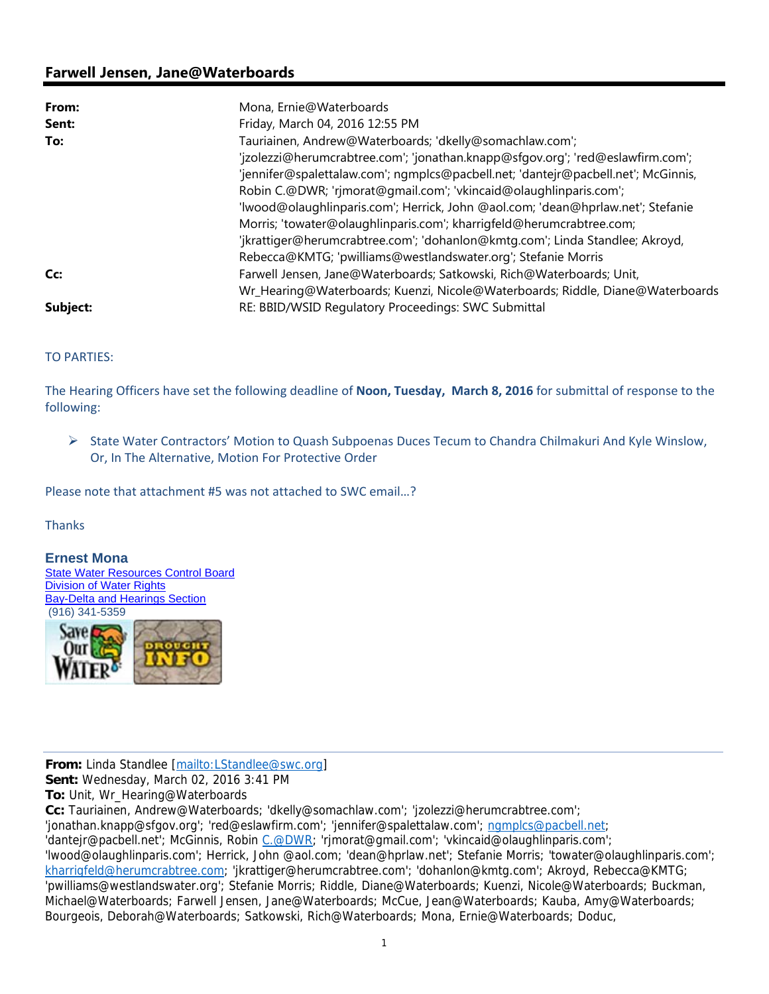## **Farwell Jensen, Jane@Waterboards**

| From:    | Mona, Ernie@Waterboards                                                           |
|----------|-----------------------------------------------------------------------------------|
| Sent:    | Friday, March 04, 2016 12:55 PM                                                   |
| To:      | Tauriainen, Andrew@Waterboards; 'dkelly@somachlaw.com';                           |
|          | 'jzolezzi@herumcrabtree.com'; 'jonathan.knapp@sfqov.org'; 'red@eslawfirm.com';    |
|          | 'jennifer@spalettalaw.com'; ngmplcs@pacbell.net; 'dantejr@pacbell.net'; McGinnis, |
|          | Robin C.@DWR; 'rjmorat@gmail.com'; 'vkincaid@olaughlinparis.com';                 |
|          | 'lwood@olaughlinparis.com'; Herrick, John @aol.com; 'dean@hprlaw.net'; Stefanie   |
|          | Morris; 'towater@olaughlinparis.com'; kharrigfeld@herumcrabtree.com;              |
|          | 'jkrattiger@herumcrabtree.com'; 'dohanlon@kmtg.com'; Linda Standlee; Akroyd,      |
|          | Rebecca@KMTG; 'pwilliams@westlandswater.org'; Stefanie Morris                     |
| Cc:      | Farwell Jensen, Jane@Waterboards; Satkowski, Rich@Waterboards; Unit,              |
|          | Wr_Hearing@Waterboards; Kuenzi, Nicole@Waterboards; Riddle, Diane@Waterboards     |
| Subject: | RE: BBID/WSID Regulatory Proceedings: SWC Submittal                               |

TO PARTIES:

The Hearing Officers have set the following deadline of **Noon, Tuesday, March 8, 2016** for submittal of response to the following:

 State Water Contractors' Motion to Quash Subpoenas Duces Tecum to Chandra Chilmakuri And Kyle Winslow, Or, In The Alternative, Motion For Protective Order

Please note that attachment #5 was not attached to SWC email…?

Thanks

## **Ernest Mona**

State Water Resources Control Board Division of Water Rights Bay-Delta and Hearings Section (916) 341-5359



**From:** Linda Standlee [mailto:LStandlee@swc.org]

**Sent:** Wednesday, March 02, 2016 3:41 PM

**To:** Unit, Wr\_Hearing@Waterboards

**Cc:** Tauriainen, Andrew@Waterboards; 'dkelly@somachlaw.com'; 'jzolezzi@herumcrabtree.com'; 'jonathan.knapp@sfgov.org'; 'red@eslawfirm.com'; 'jennifer@spalettalaw.com'; ngmplcs@pacbell.net; 'dantejr@pacbell.net'; McGinnis, Robin C.@DWR; 'rjmorat@gmail.com'; 'vkincaid@olaughlinparis.com'; 'lwood@olaughlinparis.com'; Herrick, John @aol.com; 'dean@hprlaw.net'; Stefanie Morris; 'towater@olaughlinparis.com'; kharrigfeld@herumcrabtree.com; 'jkrattiger@herumcrabtree.com'; 'dohanlon@kmtg.com'; Akroyd, Rebecca@KMTG; 'pwilliams@westlandswater.org'; Stefanie Morris; Riddle, Diane@Waterboards; Kuenzi, Nicole@Waterboards; Buckman, Michael@Waterboards; Farwell Jensen, Jane@Waterboards; McCue, Jean@Waterboards; Kauba, Amy@Waterboards; Bourgeois, Deborah@Waterboards; Satkowski, Rich@Waterboards; Mona, Ernie@Waterboards; Doduc,